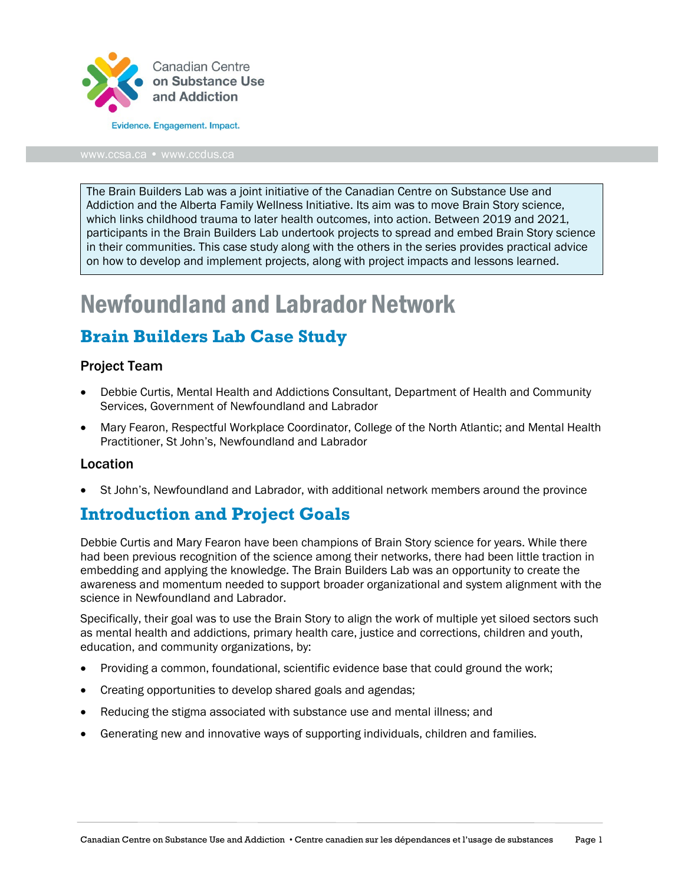

The Brain Builders Lab was a joint initiative of the Canadian Centre on Substance Use and Addiction and the Alberta Family Wellness Initiative. Its aim was to move Brain Story science, which links childhood trauma to later health outcomes, into action. Between 2019 and 2021, participants in the Brain Builders Lab undertook projects to spread and embed Brain Story science in their communities. This case study along with the others in the series provides practical advice on how to develop and implement projects, along with project impacts and lessons learned.

# Newfoundland and Labrador Network

## **Brain Builders Lab Case Study**

### Project Team

- Debbie Curtis, Mental Health and Addictions Consultant, Department of Health and Community Services, Government of Newfoundland and Labrador
- Mary Fearon, Respectful Workplace Coordinator, College of the North Atlantic; and Mental Health Practitioner, St John's, Newfoundland and Labrador

#### Location

• St John's, Newfoundland and Labrador, with additional network members around the province

## **Introduction and Project Goals**

Debbie Curtis and Mary Fearon have been champions of Brain Story science for years. While there had been previous recognition of the science among their networks, there had been little traction in embedding and applying the knowledge. The Brain Builders Lab was an opportunity to create the awareness and momentum needed to support broader organizational and system alignment with the science in Newfoundland and Labrador.

Specifically, their goal was to use the Brain Story to align the work of multiple yet siloed sectors such as mental health and addictions, primary health care, justice and corrections, children and youth, education, and community organizations, by:

- Providing a common, foundational, scientific evidence base that could ground the work;
- Creating opportunities to develop shared goals and agendas;
- Reducing the stigma associated with substance use and mental illness; and
- Generating new and innovative ways of supporting individuals, children and families.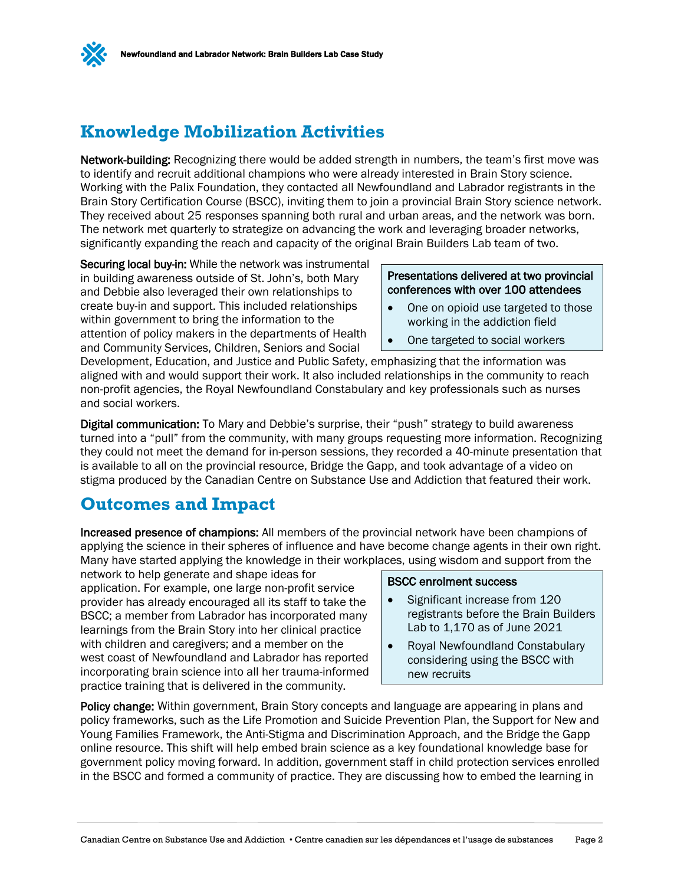

## **Knowledge Mobilization Activities**

Network-building: Recognizing there would be added strength in numbers, the team's first move was to identify and recruit additional champions who were already interested in Brain Story science. Working with the Palix Foundation, they contacted all Newfoundland and Labrador registrants in the Brain Story Certification Course (BSCC), inviting them to join a provincial Brain Story science network. They received about 25 responses spanning both rural and urban areas, and the network was born. The network met quarterly to strategize on advancing the work and leveraging broader networks, significantly expanding the reach and capacity of the original Brain Builders Lab team of two.

Securing local buy-in: While the network was instrumental in building awareness outside of St. John's, both Mary and Debbie also leveraged their own relationships to create buy-in and support. This included relationships within government to bring the information to the attention of policy makers in the departments of Health and Community Services, Children, Seniors and Social

#### Presentations delivered at two provincial conferences with over 100 attendees

- One on opioid use targeted to those working in the addiction field
- One targeted to social workers

Development, Education, and Justice and Public Safety, emphasizing that the information was aligned with and would support their work. It also included relationships in the community to reach non-profit agencies, the Royal Newfoundland Constabulary and key professionals such as nurses and social workers.

Digital communication: To Mary and Debbie's surprise, their "push" strategy to build awareness turned into a "pull" from the community, with many groups requesting more information. Recognizing they could not meet the demand for in-person sessions, they recorded a 40-minute presentation that is available to all on the provincial resource, Bridge the Gapp, and took advantage of a video on stigma produced by the Canadian Centre on Substance Use and Addiction that featured their work.

## **Outcomes and Impact**

Increased presence of champions: All members of the provincial network have been champions of applying the science in their spheres of influence and have become change agents in their own right. Many have started applying the knowledge in their workplaces, using wisdom and support from the

network to help generate and shape ideas for application. For example, one large non-profit service provider has already encouraged all its staff to take the BSCC; a member from Labrador has incorporated many learnings from the Brain Story into her clinical practice with children and caregivers; and a member on the west coast of Newfoundland and Labrador has reported incorporating brain science into all her trauma-informed practice training that is delivered in the community.

#### BSCC enrolment success

- Significant increase from 120 registrants before the Brain Builders Lab to 1,170 as of June 2021
- Royal Newfoundland Constabulary considering using the BSCC with new recruits

Policy change: Within government, Brain Story concepts and language are appearing in plans and policy frameworks, such as the Life Promotion and Suicide Prevention Plan, the Support for New and Young Families Framework, the Anti-Stigma and Discrimination Approach, and the Bridge the Gapp online resource. This shift will help embed brain science as a key foundational knowledge base for government policy moving forward. In addition, government staff in child protection services enrolled in the BSCC and formed a community of practice. They are discussing how to embed the learning in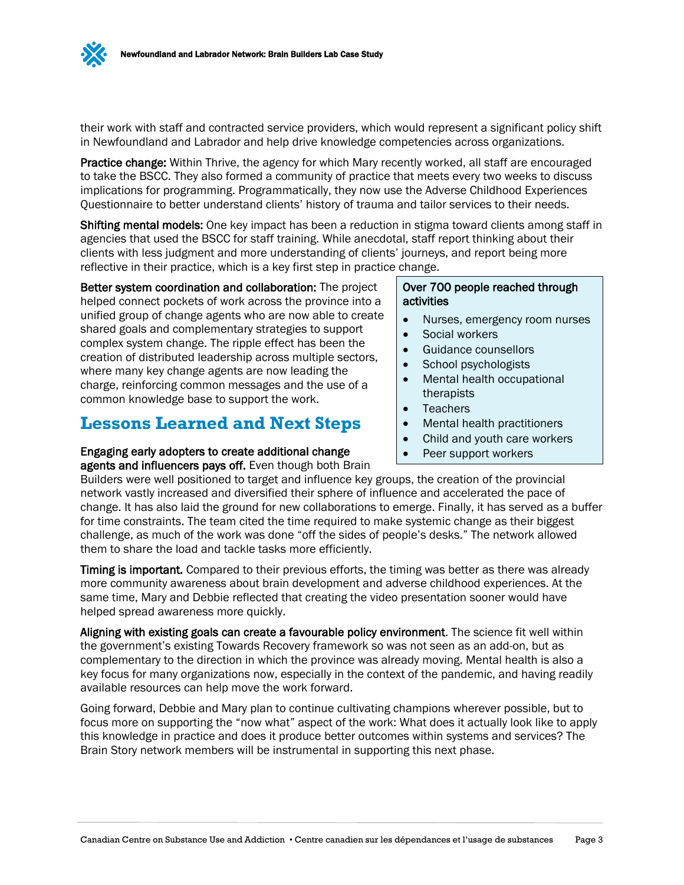

their work with staff and contracted service providers, which would represent a significant policy shift in Newfoundland and Labrador and help drive knowledge competencies across organizations.

Practice change: Within Thrive, the agency for which Mary recently worked, all staff are encouraged to take the BSCC. They also formed a community of practice that meets every two weeks to discuss implications for programming. Programmatically, they now use the Adverse Childhood Experiences Questionnaire to better understand clients' history of trauma and tailor services to their needs.

Shifting mental models: One key impact has been a reduction in stigma toward clients among staff in agencies that used the BSCC for staff training. While anecdotal, staff report thinking about their clients with less judgment and more understanding of clients' journeys, and report being more reflective in their practice, which is a key first step in practice change.

#### Better system coordination and collaboration: The project helped connect pockets of work across the province into a unified group of change agents who are now able to create shared goals and complementary strategies to support complex system change. The ripple effect has been the creation of distributed leadership across multiple sectors, where many key change agents are now leading the charge, reinforcing common messages and the use of a common knowledge base to support the work.

## **Lessons Learned and Next Steps**

## Engaging early adopters to create additional change

agents and influencers pays off. Even though both Brain

#### Over 700 people reached through activities

- Nurses, emergency room nurses
- Social workers
- Guidance counsellors
- School psychologists
- Mental health occupational therapists
- Teachers
- Mental health practitioners
- Child and youth care workers
- Peer support workers

Builders were well positioned to target and influence key groups, the creation of the provincial network vastly increased and diversified their sphere of influence and accelerated the pace of change. It has also laid the ground for new collaborations to emerge. Finally, it has served as a buffer for time constraints. The team cited the time required to make systemic change as their biggest challenge, as much of the work was done "off the sides of people's desks." The network allowed them to share the load and tackle tasks more efficiently.

Timing is important. Compared to their previous efforts, the timing was better as there was already more community awareness about brain development and adverse childhood experiences. At the same time, Mary and Debbie reflected that creating the video presentation sooner would have helped spread awareness more quickly.

Aligning with existing goals can create a favourable policy environment. The science fit well within the government's existing Towards Recovery framework so was not seen as an add-on, but as complementary to the direction in which the province was already moving. Mental health is also a key focus for many organizations now, especially in the context of the pandemic, and having readily available resources can help move the work forward.

Going forward, Debbie and Mary plan to continue cultivating champions wherever possible, but to focus more on supporting the "now what" aspect of the work: What does it actually look like to apply this knowledge in practice and does it produce better outcomes within systems and services? The Brain Story network members will be instrumental in supporting this next phase.